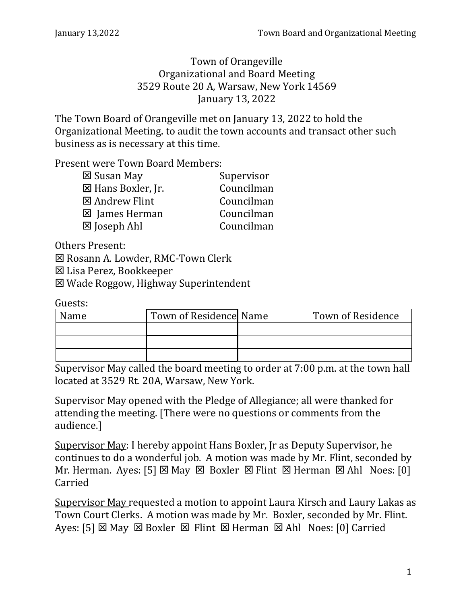Town of Orangeville Organizational and Board Meeting 3529 Route 20 A, Warsaw, New York 14569 January 13, 2022

The Town Board of Orangeville met on January 13, 2022 to hold the Organizational Meeting. to audit the town accounts and transact other such business as is necessary at this time.

Present were Town Board Members:

| ⊠ Susan May        | Supervisor |
|--------------------|------------|
| ⊠ Hans Boxler, Jr. | Councilman |
| ⊠ Andrew Flint     | Councilman |
| ⊠ James Herman     | Councilman |
| ⊠ Joseph Ahl       | Councilman |

Others Present:

 $⊠$  **Rosann A. Lowder, RMC-Town Clerk** 

Lisa Perez, Bookkeeper

Wade Roggow, Highway Superintendent

Guests:

| Name | Town of Residence Name | Town of Residence |
|------|------------------------|-------------------|
|      |                        |                   |
|      |                        |                   |
|      |                        |                   |

Supervisor May called the board meeting to order at 7:00 p.m. at the town hall located at 3529 Rt. 20A, Warsaw, New York.

Supervisor May opened with the Pledge of Allegiance; all were thanked for attending the meeting. [There were no questions or comments from the audience.]

Supervisor May: I hereby appoint Hans Boxler, Jr as Deputy Supervisor, he continues to do a wonderful job. A motion was made by Mr. Flint, seconded by Mr. Herman. Ayes: [5]  $\boxtimes$  May  $\boxtimes$  Boxler  $\boxtimes$  Flint  $\boxtimes$  Herman  $\boxtimes$  Ahl Noes: [0] Carried

Supervisor May requested a motion to appoint Laura Kirsch and Laury Lakas as Town Court Clerks. A motion was made by Mr. Boxler, seconded by Mr. Flint. Ayes: [5]  $\times$  May  $\times$  Boxler  $\times$  Flint  $\times$  Herman  $\times$  Ahl Noes: [0] Carried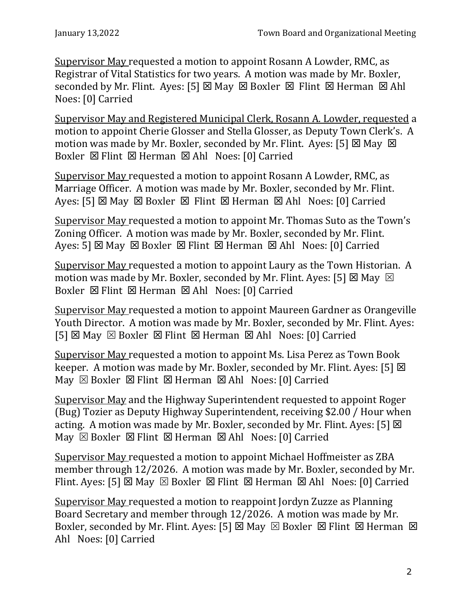Supervisor May requested a motion to appoint Rosann A Lowder, RMC, as Registrar of Vital Statistics for two years. A motion was made by Mr. Boxler, seconded by Mr. Flint. Ayes: [5]  $\times$  May  $\times$  Boxler  $\times$  Flint  $\times$  Herman  $\times$  Ahl Noes: [0] Carried

Supervisor May and Registered Municipal Clerk, Rosann A. Lowder, requested a motion to appoint Cherie Glosser and Stella Glosser, as Deputy Town Clerk's. A motion was made by Mr. Boxler, seconded by Mr. Flint. Ayes: [5]  $\times$  May  $\times$ Boxler  $\boxtimes$  Flint  $\boxtimes$  Herman  $\boxtimes$  Ahl Noes: [0] Carried

Supervisor May requested a motion to appoint Rosann A Lowder, RMC, as Marriage Officer. A motion was made by Mr. Boxler, seconded by Mr. Flint. Ayes:  $[5]$   $\boxtimes$  May  $\boxtimes$  Boxler  $\boxtimes$  Flint  $\boxtimes$  Herman  $\boxtimes$  Ahl Noes:  $[0]$  Carried

Supervisor May requested a motion to appoint Mr. Thomas Suto as the Town's Zoning Officer. A motion was made by Mr. Boxler, seconded by Mr. Flint. Ayes: 5]  $\boxtimes$  May  $\boxtimes$  Boxler  $\boxtimes$  Flint  $\boxtimes$  Herman  $\boxtimes$  Ahl Noes: [0] Carried

Supervisor May requested a motion to appoint Laury as the Town Historian. A motion was made by Mr. Boxler, seconded by Mr. Flint. Ayes: [5]  $\boxtimes$  May  $\boxtimes$ Boxler  $\boxtimes$  Flint  $\boxtimes$  Herman  $\boxtimes$  Ahl Noes: [0] Carried

Supervisor May requested a motion to appoint Maureen Gardner as Orangeville Youth Director. A motion was made by Mr. Boxler, seconded by Mr. Flint. Ayes:  $[5]$   $\boxtimes$  May  $\boxtimes$  Boxler  $\boxtimes$  Flint  $\boxtimes$  Herman  $\boxtimes$  Ahl Noes: [0] Carried

Supervisor May requested a motion to appoint Ms. Lisa Perez as Town Book keeper. A motion was made by Mr. Boxler, seconded by Mr. Flint. Ayes: [5]  $\boxtimes$  $\overline{M}$ ay  $\overline{\boxtimes}$  Boxler  $\overline{\boxtimes}$  Flint  $\overline{\boxtimes}$  Herman  $\overline{\boxtimes}$  Ahl Noes: [0] Carried

Supervisor May and the Highway Superintendent requested to appoint Roger (Bug) Tozier as Deputy Highway Superintendent, receiving \$2.00 / Hour when acting. A motion was made by Mr. Boxler, seconded by Mr. Flint. Ayes: [5]  $\boxtimes$ May  $\boxtimes$  Boxler  $\boxtimes$  Flint  $\boxtimes$  Herman  $\boxtimes$  Ahl Noes: [0] Carried

Supervisor May requested a motion to appoint Michael Hoffmeister as ZBA member through 12/2026. A motion was made by Mr. Boxler, seconded by Mr. Flint. Ayes: [5]  $\boxtimes$  May  $\boxtimes$  Boxler  $\boxtimes$  Flint  $\boxtimes$  Herman  $\boxtimes$  Ahl Noes: [0] Carried

Supervisor May requested a motion to reappoint Jordyn Zuzze as Planning Board Secretary and member through 12/2026. A motion was made by Mr. Boxler, seconded by Mr. Flint. Ayes: [5]  $\boxtimes$  May  $\boxtimes$  Boxler  $\boxtimes$  Flint  $\boxtimes$  Herman  $\boxtimes$ Ahl Noes: [0] Carried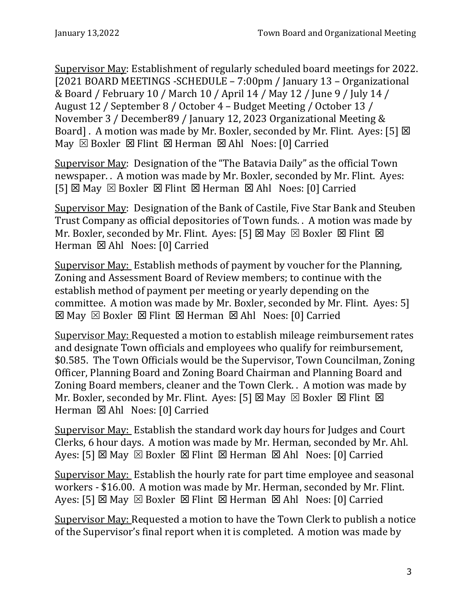Supervisor May: Establishment of regularly scheduled board meetings for 2022. [2021 BOARD MEETINGS -SCHEDULE – 7:00pm / January 13 – Organizational & Board / February 10 / March 10 / April 14 / May 12 / June 9 / July 14 / August 12 / September 8 / October 4 – Budget Meeting / October 13 / November 3 / December89 / January 12, 2023 Organizational Meeting & Board]. A motion was made by Mr. Boxler, seconded by Mr. Flint. Ayes: [5]  $\boxtimes$ May  $\boxtimes$  Boxler  $\boxtimes$  Flint  $\boxtimes$  Herman  $\boxtimes$  Ahl Noes: [0] Carried

Supervisor May: Designation of the "The Batavia Daily" as the official Town newspaper. . A motion was made by Mr. Boxler, seconded by Mr. Flint. Ayes:  $[5]$   $\boxtimes$  May  $\boxtimes$  Boxler  $\boxtimes$  Flint  $\boxtimes$  Herman  $\boxtimes$  Ahl Noes: [0] Carried

Supervisor May: Designation of the Bank of Castile, Five Star Bank and Steuben Trust Company as official depositories of Town funds. . A motion was made by Mr. Boxler, seconded by Mr. Flint. Ayes: [5]  $\boxtimes$  May  $\boxtimes$  Boxler  $\boxtimes$  Flint  $\boxtimes$ Herman ⊠ Ahl Noes: [0] Carried

Supervisor May: Establish methods of payment by voucher for the Planning, Zoning and Assessment Board of Review members; to continue with the establish method of payment per meeting or yearly depending on the committee. A motion was made by Mr. Boxler, seconded by Mr. Flint. Ayes: 5]  $\boxtimes$  May  $\boxtimes$  Boxler  $\boxtimes$  Flint  $\boxtimes$  Herman  $\boxtimes$  Ahl Noes: [0] Carried

Supervisor May: Requested a motion to establish mileage reimbursement rates and designate Town officials and employees who qualify for reimbursement, \$0.585. The Town Officials would be the Supervisor, Town Councilman, Zoning Officer, Planning Board and Zoning Board Chairman and Planning Board and Zoning Board members, cleaner and the Town Clerk. . A motion was made by Mr. Boxler, seconded by Mr. Flint. Ayes: [5]  $\boxtimes$  May  $\boxtimes$  Boxler  $\boxtimes$  Flint  $\boxtimes$ Herman  $\boxtimes$  Ahl Noes: [0] Carried

Supervisor May: Establish the standard work day hours for Judges and Court Clerks, 6 hour days. A motion was made by Mr. Herman, seconded by Mr. Ahl. Ayes: [5]  $\boxtimes$  May  $\boxtimes$  Boxler  $\boxtimes$  Flint  $\boxtimes$  Herman  $\boxtimes$  Ahl Noes: [0] Carried

Supervisor May: Establish the hourly rate for part time employee and seasonal workers - \$16.00. A motion was made by Mr. Herman, seconded by Mr. Flint. Ayes: [5]  $\boxtimes$  May  $\boxtimes$  Boxler  $\boxtimes$  Flint  $\boxtimes$  Herman  $\boxtimes$  Ahl Noes: [0] Carried

Supervisor May: Requested a motion to have the Town Clerk to publish a notice of the Supervisor's final report when it is completed. A motion was made by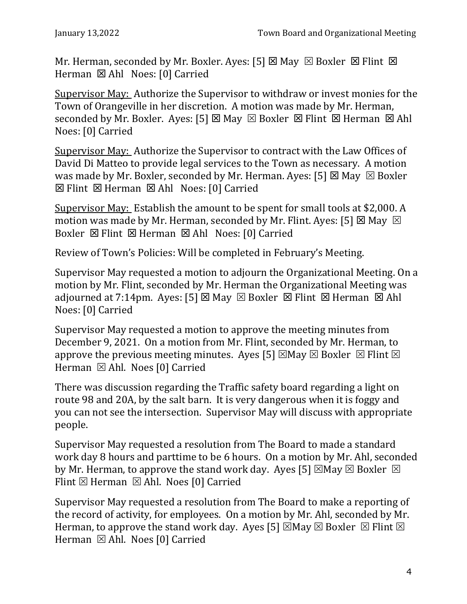Mr. Herman, seconded by Mr. Boxler. Ayes: [5]  $\boxtimes$  May  $\boxtimes$  Boxler  $\boxtimes$  Flint  $\boxtimes$ Herman  $\boxtimes$  Ahl Noes: [0] Carried

Supervisor May: Authorize the Supervisor to withdraw or invest monies for the Town of Orangeville in her discretion. A motion was made by Mr. Herman, seconded by Mr. Boxler. Ayes: [5]  $\boxtimes$  May  $\boxtimes$  Boxler  $\boxtimes$  Flint  $\boxtimes$  Herman  $\boxtimes$  Ahl Noes: [0] Carried

Supervisor May: Authorize the Supervisor to contract with the Law Offices of David Di Matteo to provide legal services to the Town as necessary. A motion was made by Mr. Boxler, seconded by Mr. Herman. Ayes: [5]  $\boxtimes$  May  $\boxtimes$  Boxler  $\boxtimes$  Flint  $\boxtimes$  Herman  $\boxtimes$  Ahl Noes: [0] Carried

Supervisor May: Establish the amount to be spent for small tools at \$2,000. A motion was made by Mr. Herman, seconded by Mr. Flint. Ayes: [5]  $\boxtimes$  May  $\boxtimes$ Boxler  $\boxtimes$  Flint  $\boxtimes$  Herman  $\boxtimes$  Ahl Noes: [0] Carried

Review of Town's Policies: Will be completed in February's Meeting.

Supervisor May requested a motion to adjourn the Organizational Meeting. On a motion by Mr. Flint, seconded by Mr. Herman the Organizational Meeting was adjourned at 7:14pm. Ayes: [5]  $\times$  May  $\times$  Boxler  $\times$  Flint  $\times$  Herman  $\times$  Ahl Noes: [0] Carried

Supervisor May requested a motion to approve the meeting minutes from December 9, 2021. On a motion from Mr. Flint, seconded by Mr. Herman, to approve the previous meeting minutes. Ayes [5]  $\boxtimes$  May  $\boxtimes$  Boxler  $\boxtimes$  Flint  $\boxtimes$ Herman  $\boxtimes$  Ahl. Noes [0] Carried

There was discussion regarding the Traffic safety board regarding a light on route 98 and 20A, by the salt barn. It is very dangerous when it is foggy and you can not see the intersection. Supervisor May will discuss with appropriate people.

Supervisor May requested a resolution from The Board to made a standard work day 8 hours and parttime to be 6 hours. On a motion by Mr. Ahl, seconded by Mr. Herman, to approve the stand work day. Ayes [5]  $\boxtimes$  May  $\boxtimes$  Boxler  $\boxtimes$ Flint  $\boxtimes$  Herman  $\boxtimes$  Ahl. Noes [0] Carried

Supervisor May requested a resolution from The Board to make a reporting of the record of activity, for employees. On a motion by Mr. Ahl, seconded by Mr. Herman, to approve the stand work day. Ayes [5]  $\boxtimes$  May  $\boxtimes$  Boxler  $\boxtimes$  Flint  $\boxtimes$ Herman  $\boxtimes$  Ahl. Noes [0] Carried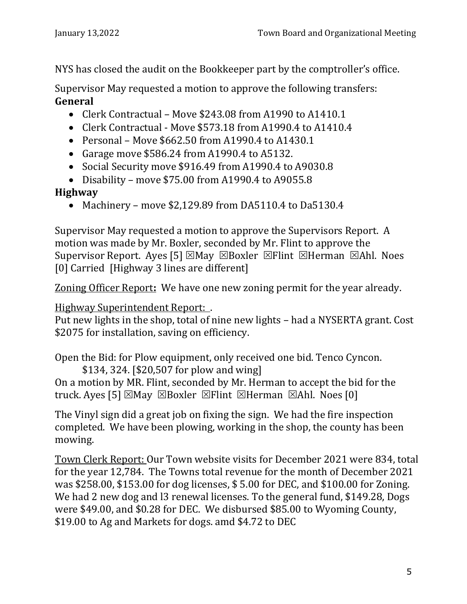NYS has closed the audit on the Bookkeeper part by the comptroller's office.

Supervisor May requested a motion to approve the following transfers: **General** 

- Clerk Contractual Move \$243.08 from A1990 to A1410.1
- Clerk Contractual Move \$573.18 from A1990.4 to A1410.4
- Personal Move \$662.50 from A1990.4 to A1430.1
- Garage move \$586.24 from A1990.4 to A5132.
- Social Security move \$916.49 from A1990.4 to A9030.8
- Disability move \$75.00 from A1990.4 to A9055.8

## **Highway**

• Machinery – move \$2,129.89 from DA5110.4 to Da5130.4

Supervisor May requested a motion to approve the Supervisors Report. A motion was made by Mr. Boxler, seconded by Mr. Flint to approve the Supervisor Report. Ayes [5]  $\boxtimes$  May  $\boxtimes$  Boxler  $\boxtimes$  Flint  $\boxtimes$  Herman  $\boxtimes$  Ahl. Noes [0] Carried [Highway 3 lines are different]

Zoning Officer Report**:** We have one new zoning permit for the year already.

Highway Superintendent Report: .

Put new lights in the shop, total of nine new lights – had a NYSERTA grant. Cost \$2075 for installation, saving on efficiency.

Open the Bid: for Plow equipment, only received one bid. Tenco Cyncon.

\$134, 324. [\$20,507 for plow and wing] On a motion by MR. Flint, seconded by Mr. Herman to accept the bid for the truck. Ayes [5]  $\boxtimes$ May  $\boxtimes$ Boxler  $\boxtimes$ Flint  $\boxtimes$ Herman  $\boxtimes$ Ahl. Noes [0]

The Vinyl sign did a great job on fixing the sign. We had the fire inspection completed. We have been plowing, working in the shop, the county has been mowing.

Town Clerk Report: Our Town website visits for December 2021 were 834, total for the year 12,784. The Towns total revenue for the month of December 2021 was \$258.00, \$153.00 for dog licenses, \$ 5.00 for DEC, and \$100.00 for Zoning. We had 2 new dog and 13 renewal licenses. To the general fund, \$149.28, Dogs were \$49.00, and \$0.28 for DEC. We disbursed \$85.00 to Wyoming County, \$19.00 to Ag and Markets for dogs. amd \$4.72 to DEC